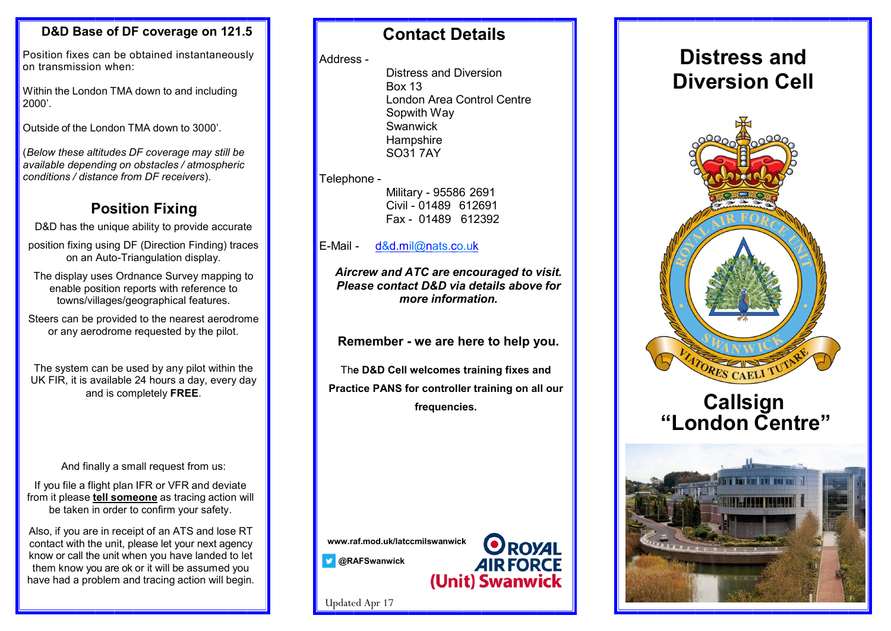### **D&D Base of DF coverage on 121.5**

Position fixes can be obtained instantaneously on transmission when:

Within the London TMA down to and including 2000'.

Outside of the London TMA down to 3000'.

(*Below these altitudes DF coverage may still be available depending on obstacles / atmospheric conditions / distance from DF receivers*).

## **Position Fixing**

D&D has the unique ability to provide accurate

position fixing using DF (Direction Finding) traces on an Auto-Triangulation display.

The display uses Ordnance Survey mapping to enable position reports with reference to towns/villages/geographical features.

Steers can be provided to the nearest aerodrome or any aerodrome requested by the pilot.

The system can be used by any pilot within the UK FIR, it is available 24 hours a day, every day and is completely **FREE**.

### And finally a small request from us:

If you file a flight plan IFR or VFR and deviate from it please **tell someone** as tracing action will be taken in order to confirm your safety.

Also, if you are in receipt of an ATS and lose RT contact with the unit, please let your next agency know or call the unit when you have landed to let them know you are ok or it will be assumed you have had a problem and tracing action will begin.

## **Contact Details**

#### Address -

Distress and Diversion Box 13 London Area Control Centre Sopwith Way **Swanwick Hampshire** SO31 7AY

#### Telephone -

Military - 95586 2691 Civil - 01489 612691 Fax - 01489 612392

### E-Mail - [d&d.mil@nats.co.uk](mailto:d%26d.mil@nats.co.uk)

*Aircrew and ATC are encouraged to visit. Please contact D&D via details above for more information.*

**Remember - we are here to help you.**

Th**e D&D Cell welcomes training fixes and Practice PANS for controller training on all our frequencies.**

> **ROYAL AIR FORCE**

(Unit) Swanwick



**@RAFSwanwick**

Updated Apr 17





# **Callsign "London Centre"**